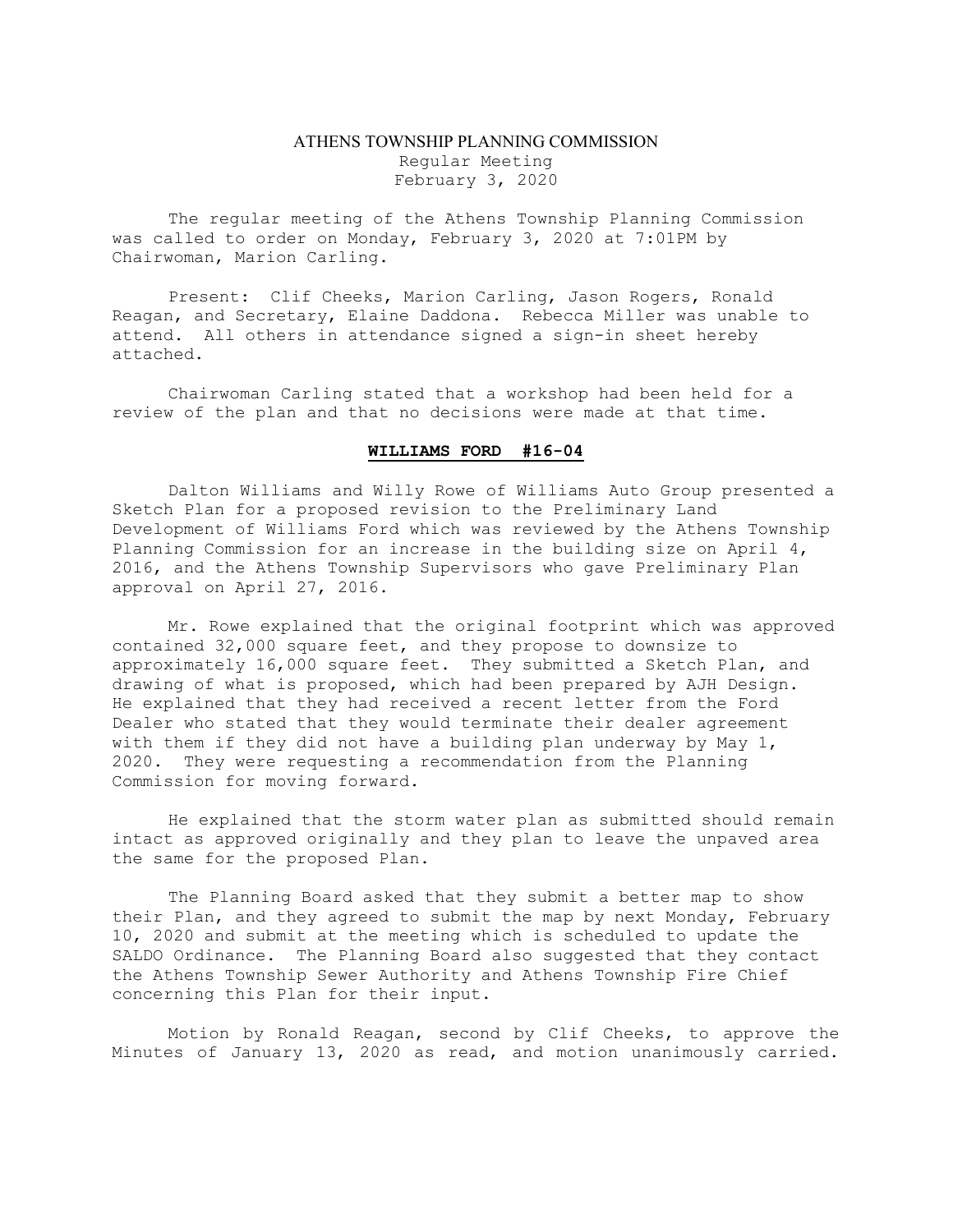## ATHENS TOWNSHIP PLANNING COMMISSION Regular Meeting February 3, 2020

The regular meeting of the Athens Township Planning Commission was called to order on Monday, February 3, 2020 at 7:01PM by Chairwoman, Marion Carling.

Present: Clif Cheeks, Marion Carling, Jason Rogers, Ronald Reagan, and Secretary, Elaine Daddona. Rebecca Miller was unable to attend. All others in attendance signed a sign-in sheet hereby attached.

Chairwoman Carling stated that a workshop had been held for a review of the plan and that no decisions were made at that time.

## WILLIAMS FORD #16-04

Dalton Williams and Willy Rowe of Williams Auto Group presented a Sketch Plan for a proposed revision to the Preliminary Land Development of Williams Ford which was reviewed by the Athens Township Planning Commission for an increase in the building size on April 4, 2016, and the Athens Township Supervisors who gave Preliminary Plan approval on April 27, 2016.

Mr. Rowe explained that the original footprint which was approved contained 32,000 square feet, and they propose to downsize to approximately 16,000 square feet. They submitted a Sketch Plan, and drawing of what is proposed, which had been prepared by AJH Design. He explained that they had received a recent letter from the Ford Dealer who stated that they would terminate their dealer agreement with them if they did not have a building plan underway by May 1, 2020. They were requesting a recommendation from the Planning Commission for moving forward.

He explained that the storm water plan as submitted should remain intact as approved originally and they plan to leave the unpaved area the same for the proposed Plan.

The Planning Board asked that they submit a better map to show their Plan, and they agreed to submit the map by next Monday, February 10, 2020 and submit at the meeting which is scheduled to update the SALDO Ordinance. The Planning Board also suggested that they contact the Athens Township Sewer Authority and Athens Township Fire Chief concerning this Plan for their input.

Motion by Ronald Reagan, second by Clif Cheeks, to approve the Minutes of January 13, 2020 as read, and motion unanimously carried.